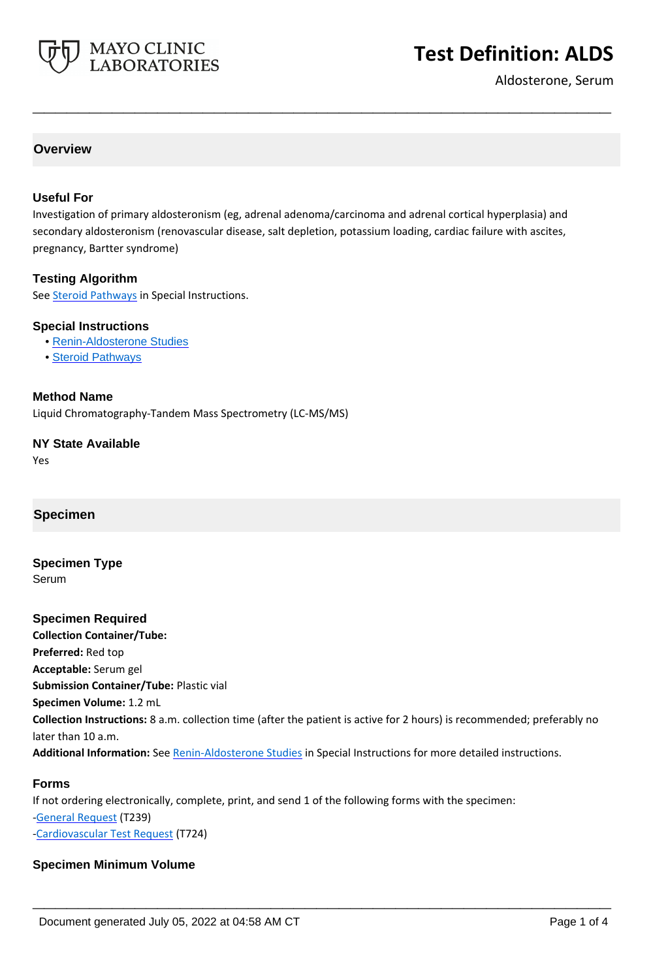

# **Test Definition: ALDS**

Aldosterone, Serum

## **Overview**

#### **Useful For**

Investigation of primary aldosteronism (eg, adrenal adenoma/carcinoma and adrenal cortical hyperplasia) and secondary aldosteronism (renovascular disease, salt depletion, potassium loading, cardiac failure with ascites, pregnancy, Bartter syndrome)

**\_\_\_\_\_\_\_\_\_\_\_\_\_\_\_\_\_\_\_\_\_\_\_\_\_\_\_\_\_\_\_\_\_\_\_\_\_\_\_\_\_\_\_\_\_\_\_\_\_\_\_**

#### **Testing Algorithm**

See **Steroid Pathways** in Special Instructions.

#### **Special Instructions**

- • [Renin-Aldosterone Studies](http://www.mayocliniclabs.com/it-mmfiles/Renin-Aldosterone_Studies.pdf)
- • [Steroid Pathways](http://www.mayocliniclabs.com/it-mmfiles/Steroid_Pathways.pdf)

#### **Method Name**

Liquid Chromatography-Tandem Mass Spectrometry (LC-MS/MS)

#### **NY State Available**

Yes

## **Specimen**

**Specimen Type** Serum

**Specimen Required Collection Container/Tube: Preferred:** Red top **Acceptable:** Serum gel **Submission Container/Tube:** Plastic vial **Specimen Volume:** 1.2 mL **Collection Instructions:** 8 a.m. collection time (after the patient is active for 2 hours) is recommended; preferably no later than 10 a.m. **Additional Information:** See [Renin-Aldosterone Studies](http://www.mayocliniclabs.com/it-mmfiles/Renin-Aldosterone_Studies.pdf) in Special Instructions for more detailed instructions.

**\_\_\_\_\_\_\_\_\_\_\_\_\_\_\_\_\_\_\_\_\_\_\_\_\_\_\_\_\_\_\_\_\_\_\_\_\_\_\_\_\_\_\_\_\_\_\_\_\_\_\_**

#### **Forms**

If not ordering electronically, complete, print, and send 1 of the following forms with the specimen: [-General Request](https://www.mayocliniclabs.com/it-mmfiles/general-request-form.pdf) (T239) [-Cardiovascular Test Request](https://www.mayocliniclabs.com/it-mmfiles/cardiovascular-request-form.pdf) (T724)

#### **Specimen Minimum Volume**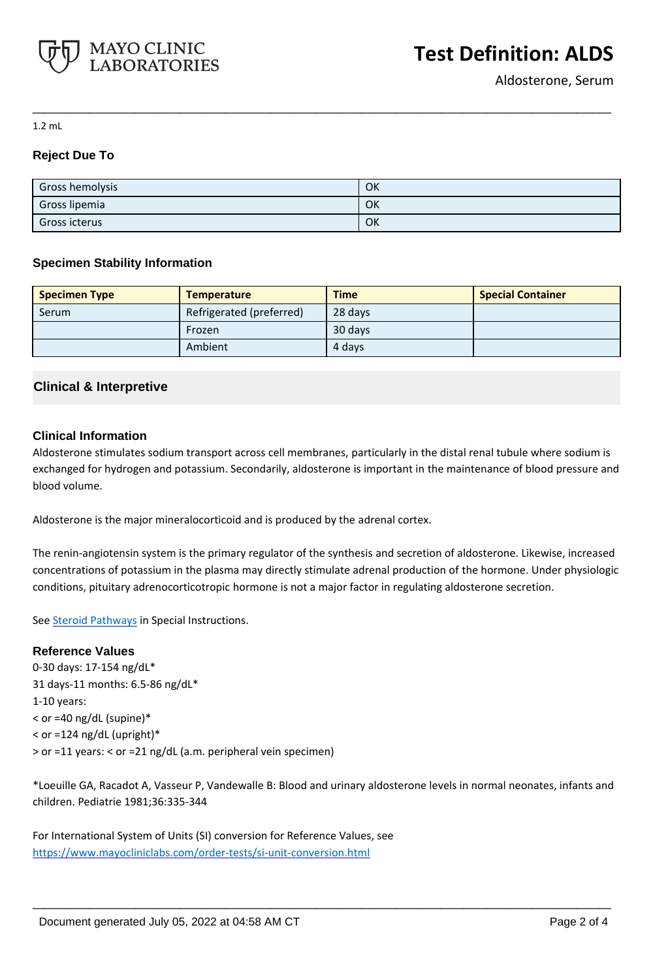

1.2 mL

# **Reject Due To**

| <b>Gross hemolysis</b> | OK |
|------------------------|----|
| Gross lipemia          | OK |
| Gross icterus          | OK |

**\_\_\_\_\_\_\_\_\_\_\_\_\_\_\_\_\_\_\_\_\_\_\_\_\_\_\_\_\_\_\_\_\_\_\_\_\_\_\_\_\_\_\_\_\_\_\_\_\_\_\_**

# **Specimen Stability Information**

| <b>Specimen Type</b> | <b>Temperature</b>       | <b>Time</b> | <b>Special Container</b> |
|----------------------|--------------------------|-------------|--------------------------|
| Serum                | Refrigerated (preferred) | 28 days     |                          |
|                      | Frozen                   | 30 days     |                          |
|                      | Ambient                  | 4 days      |                          |

# **Clinical & Interpretive**

## **Clinical Information**

Aldosterone stimulates sodium transport across cell membranes, particularly in the distal renal tubule where sodium is exchanged for hydrogen and potassium. Secondarily, aldosterone is important in the maintenance of blood pressure and blood volume.

Aldosterone is the major mineralocorticoid and is produced by the adrenal cortex.

The renin-angiotensin system is the primary regulator of the synthesis and secretion of aldosterone. Likewise, increased concentrations of potassium in the plasma may directly stimulate adrenal production of the hormone. Under physiologic conditions, pituitary adrenocorticotropic hormone is not a major factor in regulating aldosterone secretion.

See **Steroid Pathways** in Special Instructions.

## **Reference Values**

0-30 days: 17-154 ng/dL\* 31 days-11 months: 6.5-86 ng/dL\* 1-10 years: < or =40 ng/dL (supine)\* < or =124 ng/dL (upright)\* > or =11 years: < or =21 ng/dL (a.m. peripheral vein specimen)

\*Loeuille GA, Racadot A, Vasseur P, Vandewalle B: Blood and urinary aldosterone levels in normal neonates, infants and children. Pediatrie 1981;36:335-344

**\_\_\_\_\_\_\_\_\_\_\_\_\_\_\_\_\_\_\_\_\_\_\_\_\_\_\_\_\_\_\_\_\_\_\_\_\_\_\_\_\_\_\_\_\_\_\_\_\_\_\_**

For International System of Units (SI) conversion for Reference Values, see <https://www.mayocliniclabs.com/order-tests/si-unit-conversion.html>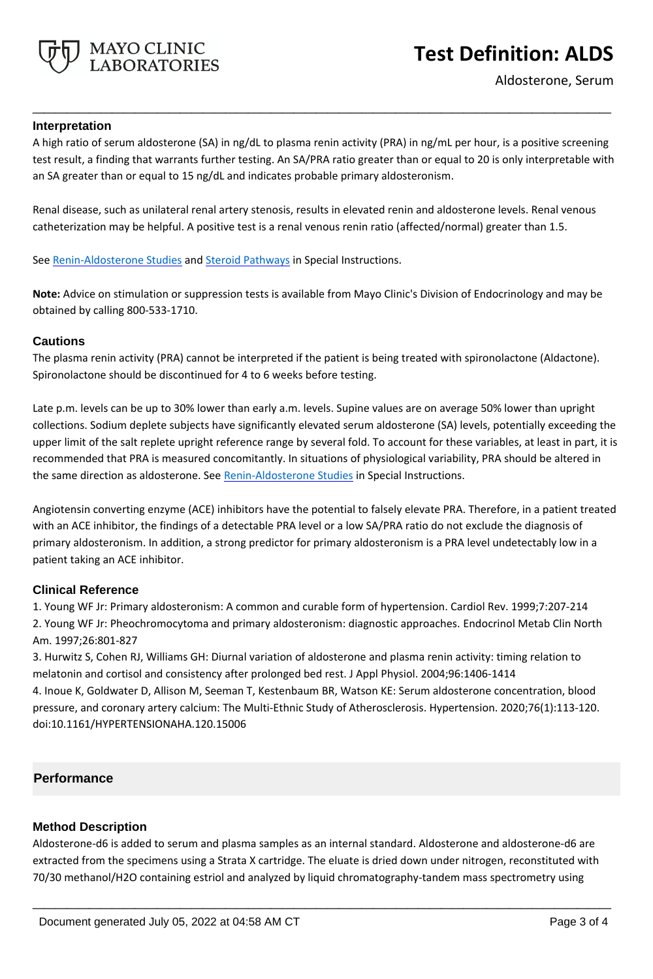

#### **Interpretation**

A high ratio of serum aldosterone (SA) in ng/dL to plasma renin activity (PRA) in ng/mL per hour, is a positive screening test result, a finding that warrants further testing. An SA/PRA ratio greater than or equal to 20 is only interpretable with an SA greater than or equal to 15 ng/dL and indicates probable primary aldosteronism.

**\_\_\_\_\_\_\_\_\_\_\_\_\_\_\_\_\_\_\_\_\_\_\_\_\_\_\_\_\_\_\_\_\_\_\_\_\_\_\_\_\_\_\_\_\_\_\_\_\_\_\_**

Renal disease, such as unilateral renal artery stenosis, results in elevated renin and aldosterone levels. Renal venous catheterization may be helpful. A positive test is a renal venous renin ratio (affected/normal) greater than 1.5.

See [Renin-Aldosterone Studies](http://www.mayocliniclabs.com/it-mmfiles/Renin-Aldosterone_Studies.pdf) and [Steroid Pathways](http://www.mayocliniclabs.com/it-mmfiles/Steroid_Pathways.pdf) in Special Instructions.

**Note:** Advice on stimulation or suppression tests is available from Mayo Clinic's Division of Endocrinology and may be obtained by calling 800-533-1710.

#### **Cautions**

The plasma renin activity (PRA) cannot be interpreted if the patient is being treated with spironolactone (Aldactone). Spironolactone should be discontinued for 4 to 6 weeks before testing.

Late p.m. levels can be up to 30% lower than early a.m. levels. Supine values are on average 50% lower than upright collections. Sodium deplete subjects have significantly elevated serum aldosterone (SA) levels, potentially exceeding the upper limit of the salt replete upright reference range by several fold. To account for these variables, at least in part, it is recommended that PRA is measured concomitantly. In situations of physiological variability, PRA should be altered in the same direction as aldosterone. See [Renin-Aldosterone Studies](http://www.mayocliniclabs.com/it-mmfiles/Renin-Aldosterone_Studies.pdf) in Special Instructions.

Angiotensin converting enzyme (ACE) inhibitors have the potential to falsely elevate PRA. Therefore, in a patient treated with an ACE inhibitor, the findings of a detectable PRA level or a low SA/PRA ratio do not exclude the diagnosis of primary aldosteronism. In addition, a strong predictor for primary aldosteronism is a PRA level undetectably low in a patient taking an ACE inhibitor.

## **Clinical Reference**

1. Young WF Jr: Primary aldosteronism: A common and curable form of hypertension. Cardiol Rev. 1999;7:207-214 2. Young WF Jr: Pheochromocytoma and primary aldosteronism: diagnostic approaches. Endocrinol Metab Clin North Am. 1997;26:801-827

3. Hurwitz S, Cohen RJ, Williams GH: Diurnal variation of aldosterone and plasma renin activity: timing relation to melatonin and cortisol and consistency after prolonged bed rest. J Appl Physiol. 2004;96:1406-1414 4. Inoue K, Goldwater D, Allison M, Seeman T, Kestenbaum BR, Watson KE: Serum aldosterone concentration, blood pressure, and coronary artery calcium: The Multi-Ethnic Study of Atherosclerosis. Hypertension. 2020;76(1):113-120. doi:10.1161/HYPERTENSIONAHA.120.15006

## **Performance**

## **Method Description**

Aldosterone-d6 is added to serum and plasma samples as an internal standard. Aldosterone and aldosterone-d6 are extracted from the specimens using a Strata X cartridge. The eluate is dried down under nitrogen, reconstituted with 70/30 methanol/H2O containing estriol and analyzed by liquid chromatography-tandem mass spectrometry using

**\_\_\_\_\_\_\_\_\_\_\_\_\_\_\_\_\_\_\_\_\_\_\_\_\_\_\_\_\_\_\_\_\_\_\_\_\_\_\_\_\_\_\_\_\_\_\_\_\_\_\_**